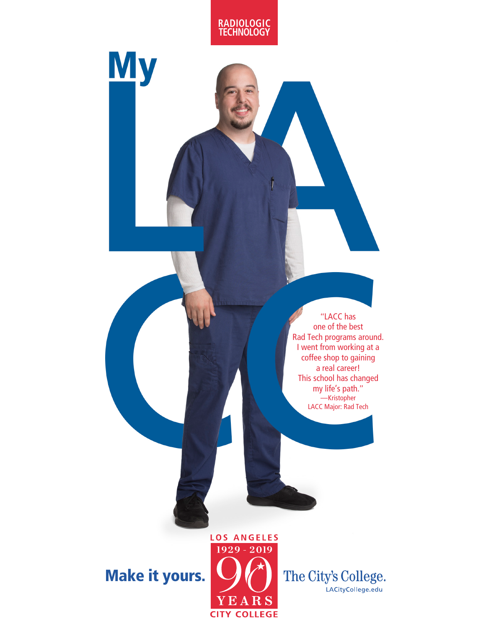

**My** 

"LACC has one of the best Rad Tech programs around. I went from working at a coffee shop to gaining a real career! This school has changed my life's path." **—**Kristopher LACC Major: Rad Tech

## Make it yours.